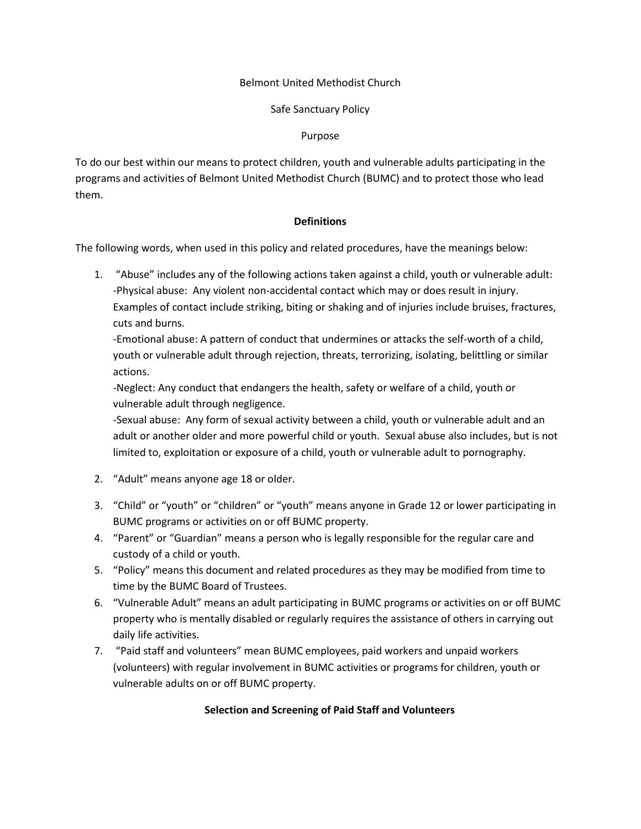## Belmont United Methodist Church

# Safe Sanctuary Policy

## Purpose

To do our best within our means to protect children, youth and vulnerable adults participating in the programs and activities of Belmont United Methodist Church (BUMC) and to protect those who lead them.

## **Definitions**

The following words, when used in this policy and related procedures, have the meanings below:

1. "Abuse" includes any of the following actions taken against a child, youth or vulnerable adult: -Physical abuse: Any violent non-accidental contact which may or does result in injury. Examples of contact include striking, biting or shaking and of injuries include bruises, fractures, cuts and burns.

-Emotional abuse: A pattern of conduct that undermines or attacks the self-worth of a child, youth or vulnerable adult through rejection, threats, terrorizing, isolating, belittling or similar actions.

-Neglect: Any conduct that endangers the health, safety or welfare of a child, youth or vulnerable adult through negligence.

-Sexual abuse: Any form of sexual activity between a child, youth or vulnerable adult and an adult or another older and more powerful child or youth. Sexual abuse also includes, but is not limited to, exploitation or exposure of a child, youth or vulnerable adult to pornography.

- 2. "Adult" means anyone age 18 or older.
- 3. "Child" or "youth" or "children" or "youth" means anyone in Grade 12 or lower participating in BUMC programs or activities on or off BUMC property.
- 4. "Parent" or "Guardian" means a person who is legally responsible for the regular care and custody of a child or youth.
- 5. "Policy" means this document and related procedures as they may be modified from time to time by the BUMC Board of Trustees.
- 6. "Vulnerable Adult" means an adult participating in BUMC programs or activities on or off BUMC property who is mentally disabled or regularly requires the assistance of others in carrying out daily life activities.
- 7. "Paid staff and volunteers" mean BUMC employees, paid workers and unpaid workers (volunteers) with regular involvement in BUMC activities or programs for children, youth or vulnerable adults on or off BUMC property.

# **Selection and Screening of Paid Staff and Volunteers**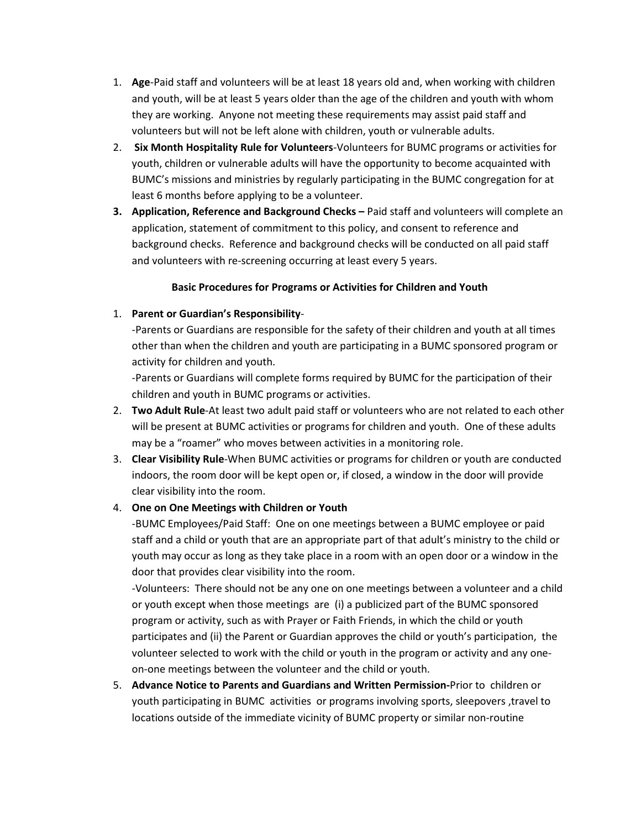- 1. **Age**-Paid staff and volunteers will be at least 18 years old and, when working with children and youth, will be at least 5 years older than the age of the children and youth with whom they are working. Anyone not meeting these requirements may assist paid staff and volunteers but will not be left alone with children, youth or vulnerable adults.
- 2. **Six Month Hospitality Rule for Volunteers**-Volunteers for BUMC programs or activities for youth, children or vulnerable adults will have the opportunity to become acquainted with BUMC's missions and ministries by regularly participating in the BUMC congregation for at least 6 months before applying to be a volunteer.
- **3. Application, Reference and Background Checks** Paid staff and volunteers will complete an application, statement of commitment to this policy, and consent to reference and background checks. Reference and background checks will be conducted on all paid staff and volunteers with re-screening occurring at least every 5 years.

## **Basic Procedures for Programs or Activities for Children and Youth**

## 1. **Parent or Guardian's Responsibility**-

-Parents or Guardians are responsible for the safety of their children and youth at all times other than when the children and youth are participating in a BUMC sponsored program or activity for children and youth.

-Parents or Guardians will complete forms required by BUMC for the participation of their children and youth in BUMC programs or activities.

- 2. **Two Adult Rule**-At least two adult paid staff or volunteers who are not related to each other will be present at BUMC activities or programs for children and youth. One of these adults may be a "roamer" who moves between activities in a monitoring role.
- 3. **Clear Visibility Rule**-When BUMC activities or programs for children or youth are conducted indoors, the room door will be kept open or, if closed, a window in the door will provide clear visibility into the room.

# 4. **One on One Meetings with Children or Youth**

-BUMC Employees/Paid Staff: One on one meetings between a BUMC employee or paid staff and a child or youth that are an appropriate part of that adult's ministry to the child or youth may occur as long as they take place in a room with an open door or a window in the door that provides clear visibility into the room.

-Volunteers: There should not be any one on one meetings between a volunteer and a child or youth except when those meetings are (i) a publicized part of the BUMC sponsored program or activity, such as with Prayer or Faith Friends, in which the child or youth participates and (ii) the Parent or Guardian approves the child or youth's participation, the volunteer selected to work with the child or youth in the program or activity and any oneon-one meetings between the volunteer and the child or youth.

5. **Advance Notice to Parents and Guardians and Written Permission-**Prior to children or youth participating in BUMC activities or programs involving sports, sleepovers, travel to locations outside of the immediate vicinity of BUMC property or similar non-routine